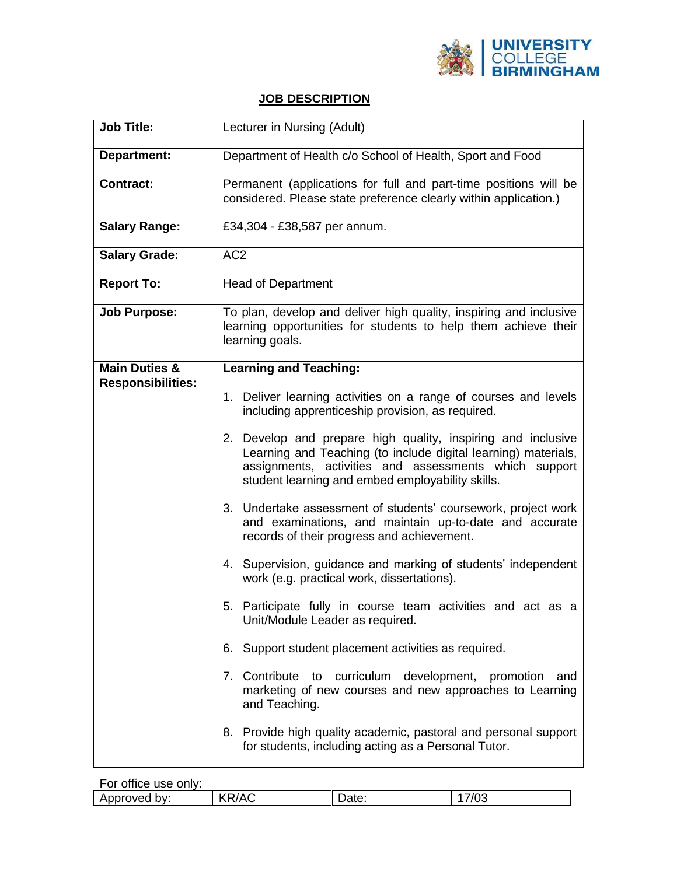

## **JOB DESCRIPTION**

| <b>Job Title:</b>                                                                                                                                                                                                                           | Lecturer in Nursing (Adult)                                                                                                                                           |  |  |
|---------------------------------------------------------------------------------------------------------------------------------------------------------------------------------------------------------------------------------------------|-----------------------------------------------------------------------------------------------------------------------------------------------------------------------|--|--|
| <b>Department:</b>                                                                                                                                                                                                                          | Department of Health c/o School of Health, Sport and Food                                                                                                             |  |  |
| <b>Contract:</b>                                                                                                                                                                                                                            | Permanent (applications for full and part-time positions will be<br>considered. Please state preference clearly within application.)                                  |  |  |
| <b>Salary Range:</b>                                                                                                                                                                                                                        | £34,304 - £38,587 per annum.                                                                                                                                          |  |  |
| <b>Salary Grade:</b>                                                                                                                                                                                                                        | AC <sub>2</sub>                                                                                                                                                       |  |  |
| <b>Report To:</b>                                                                                                                                                                                                                           | <b>Head of Department</b>                                                                                                                                             |  |  |
| <b>Job Purpose:</b>                                                                                                                                                                                                                         | To plan, develop and deliver high quality, inspiring and inclusive<br>learning opportunities for students to help them achieve their<br>learning goals.               |  |  |
| <b>Main Duties &amp;</b>                                                                                                                                                                                                                    | <b>Learning and Teaching:</b>                                                                                                                                         |  |  |
| <b>Responsibilities:</b>                                                                                                                                                                                                                    | 1. Deliver learning activities on a range of courses and levels<br>including apprenticeship provision, as required.                                                   |  |  |
| 2. Develop and prepare high quality, inspiring and inclusive<br>Learning and Teaching (to include digital learning) materials,<br>assignments, activities and assessments which support<br>student learning and embed employability skills. |                                                                                                                                                                       |  |  |
|                                                                                                                                                                                                                                             | 3. Undertake assessment of students' coursework, project work<br>and examinations, and maintain up-to-date and accurate<br>records of their progress and achievement. |  |  |
|                                                                                                                                                                                                                                             | 4. Supervision, guidance and marking of students' independent<br>work (e.g. practical work, dissertations).                                                           |  |  |
|                                                                                                                                                                                                                                             | 5. Participate fully in course team activities and act as a<br>Unit/Module Leader as required.                                                                        |  |  |
|                                                                                                                                                                                                                                             | Support student placement activities as required.<br>6.                                                                                                               |  |  |
|                                                                                                                                                                                                                                             | 7. Contribute to curriculum development, promotion<br>and<br>marketing of new courses and new approaches to Learning<br>and Teaching.                                 |  |  |
|                                                                                                                                                                                                                                             | 8. Provide high quality academic, pastoral and personal support<br>for students, including acting as a Personal Tutor.                                                |  |  |

For office use only: Approved by:  $|$  KR/AC  $|$  Date:  $|$  17/03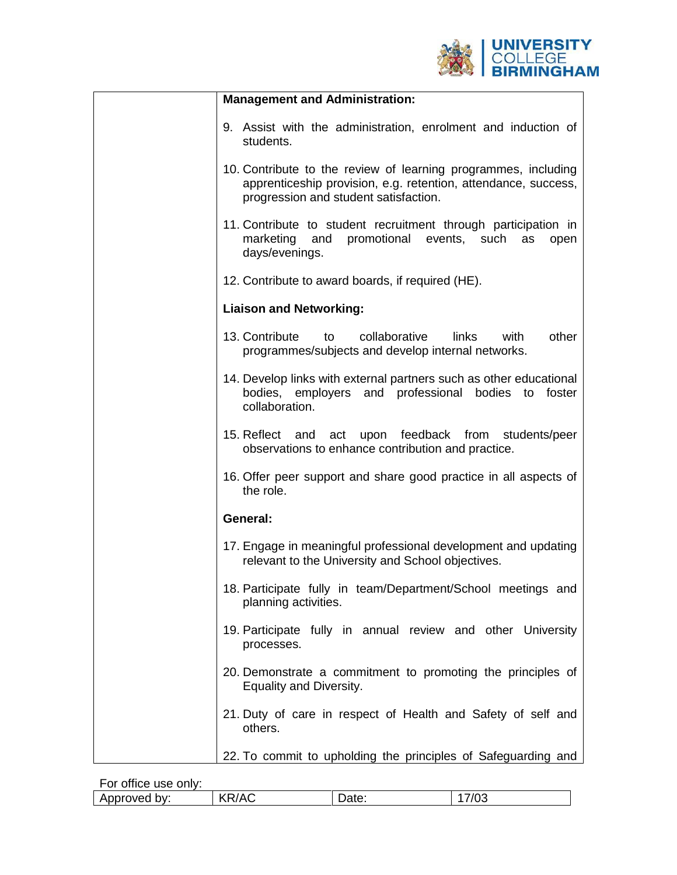

| <b>Management and Administration:</b>                                                                                                                                     |
|---------------------------------------------------------------------------------------------------------------------------------------------------------------------------|
| 9. Assist with the administration, enrolment and induction of<br>students.                                                                                                |
| 10. Contribute to the review of learning programmes, including<br>apprenticeship provision, e.g. retention, attendance, success,<br>progression and student satisfaction. |
| 11. Contribute to student recruitment through participation in<br>and promotional<br>marketing<br>events, such<br>as<br>open<br>days/evenings.                            |
| 12. Contribute to award boards, if required (HE).                                                                                                                         |
| <b>Liaison and Networking:</b>                                                                                                                                            |
| 13. Contribute<br>other<br>collaborative<br>links<br>with<br>to<br>programmes/subjects and develop internal networks.                                                     |
| 14. Develop links with external partners such as other educational<br>bodies, employers and professional bodies to foster<br>collaboration.                               |
| 15. Reflect and act upon feedback from students/peer<br>observations to enhance contribution and practice.                                                                |
| 16. Offer peer support and share good practice in all aspects of<br>the role.                                                                                             |
| General:                                                                                                                                                                  |
| 17. Engage in meaningful professional development and updating<br>relevant to the University and School objectives.                                                       |
| 18. Participate fully in team/Department/School meetings and<br>planning activities.                                                                                      |
| 19. Participate fully in annual review and other University<br>processes.                                                                                                 |
| 20. Demonstrate a commitment to promoting the principles of<br>Equality and Diversity.                                                                                    |
| 21. Duty of care in respect of Health and Safety of self and<br>others.                                                                                                   |
| 22. To commit to upholding the principles of Safeguarding and                                                                                                             |

For office use only:

| .                |          |     |    |  |
|------------------|----------|-----|----|--|
| hv.<br>nver<br>∼ | .,<br>`` | aw. | vu |  |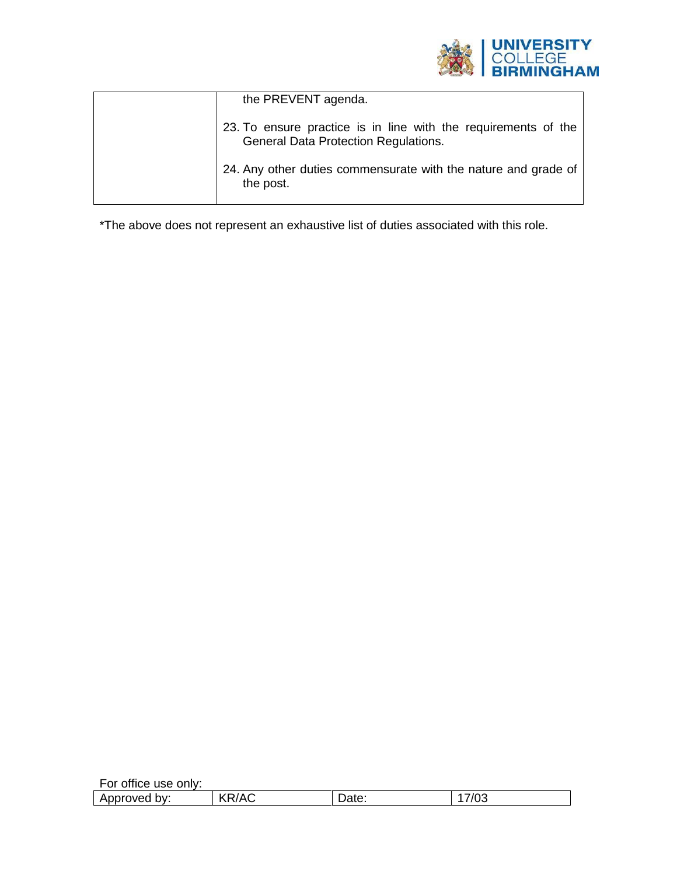

| the PREVENT agenda.                                                                                           |
|---------------------------------------------------------------------------------------------------------------|
| 23. To ensure practice is in line with the requirements of the<br><b>General Data Protection Regulations.</b> |
| 24. Any other duties commensurate with the nature and grade of<br>the post.                                   |

\*The above does not represent an exhaustive list of duties associated with this role.

| For office use only: |              |       |      |
|----------------------|--------------|-------|------|
| Approved by:         | <b>KR/AC</b> | Date: | 7/03 |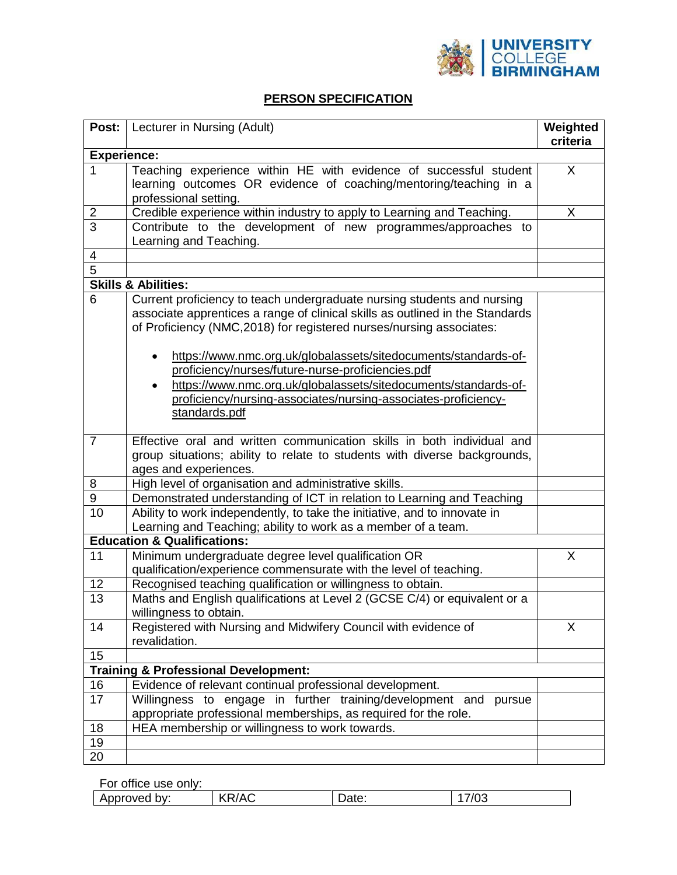

## **PERSON SPECIFICATION**

| Post:                   | Lecturer in Nursing (Adult)                                                                                                                                                                                                     | Weighted<br>criteria |
|-------------------------|---------------------------------------------------------------------------------------------------------------------------------------------------------------------------------------------------------------------------------|----------------------|
| <b>Experience:</b>      |                                                                                                                                                                                                                                 |                      |
|                         | Teaching experience within HE with evidence of successful student                                                                                                                                                               | X                    |
|                         | learning outcomes OR evidence of coaching/mentoring/teaching in a                                                                                                                                                               |                      |
|                         | professional setting.                                                                                                                                                                                                           |                      |
| $\overline{\mathbf{c}}$ | Credible experience within industry to apply to Learning and Teaching.                                                                                                                                                          | X                    |
| $\overline{3}$          | Contribute to the development of new programmes/approaches to<br>Learning and Teaching.                                                                                                                                         |                      |
| 4                       |                                                                                                                                                                                                                                 |                      |
| $\overline{5}$          |                                                                                                                                                                                                                                 |                      |
|                         | <b>Skills &amp; Abilities:</b>                                                                                                                                                                                                  |                      |
| 6                       | Current proficiency to teach undergraduate nursing students and nursing<br>associate apprentices a range of clinical skills as outlined in the Standards<br>of Proficiency (NMC,2018) for registered nurses/nursing associates: |                      |
|                         | https://www.nmc.org.uk/globalassets/sitedocuments/standards-of-<br>٠                                                                                                                                                            |                      |
|                         | proficiency/nurses/future-nurse-proficiencies.pdf                                                                                                                                                                               |                      |
|                         | https://www.nmc.org.uk/globalassets/sitedocuments/standards-of-<br>٠                                                                                                                                                            |                      |
|                         | proficiency/nursing-associates/nursing-associates-proficiency-                                                                                                                                                                  |                      |
|                         | standards.pdf                                                                                                                                                                                                                   |                      |
| $\overline{7}$          | Effective oral and written communication skills in both individual and                                                                                                                                                          |                      |
|                         | group situations; ability to relate to students with diverse backgrounds,                                                                                                                                                       |                      |
|                         | ages and experiences.                                                                                                                                                                                                           |                      |
| 8                       | High level of organisation and administrative skills.                                                                                                                                                                           |                      |
| 9                       | Demonstrated understanding of ICT in relation to Learning and Teaching                                                                                                                                                          |                      |
| 10                      | Ability to work independently, to take the initiative, and to innovate in                                                                                                                                                       |                      |
|                         | Learning and Teaching; ability to work as a member of a team.                                                                                                                                                                   |                      |
|                         | <b>Education &amp; Qualifications:</b>                                                                                                                                                                                          |                      |
| 11                      | Minimum undergraduate degree level qualification OR                                                                                                                                                                             | X                    |
|                         | qualification/experience commensurate with the level of teaching.                                                                                                                                                               |                      |
| 12                      | Recognised teaching qualification or willingness to obtain.                                                                                                                                                                     |                      |
| 13                      | Maths and English qualifications at Level 2 (GCSE C/4) or equivalent or a                                                                                                                                                       |                      |
|                         | willingness to obtain.                                                                                                                                                                                                          |                      |
| 14                      | Registered with Nursing and Midwifery Council with evidence of                                                                                                                                                                  | X                    |
|                         | revalidation.                                                                                                                                                                                                                   |                      |
| 15                      |                                                                                                                                                                                                                                 |                      |
|                         | <b>Training &amp; Professional Development:</b>                                                                                                                                                                                 |                      |
| 16                      | Evidence of relevant continual professional development.                                                                                                                                                                        |                      |
| 17                      | Willingness to engage in further training/development and<br>pursue<br>appropriate professional memberships, as required for the role.                                                                                          |                      |
| 18                      | HEA membership or willingness to work towards.                                                                                                                                                                                  |                      |
|                         |                                                                                                                                                                                                                                 |                      |
| 19                      |                                                                                                                                                                                                                                 |                      |

For office use only:

| .                         |                                         |     |   |  |
|---------------------------|-----------------------------------------|-----|---|--|
| hv.<br>$\cdots$<br>$\sim$ | <br>. .<br>$\mathbf{v}$<br>$\mathbf{v}$ | aw. | v |  |